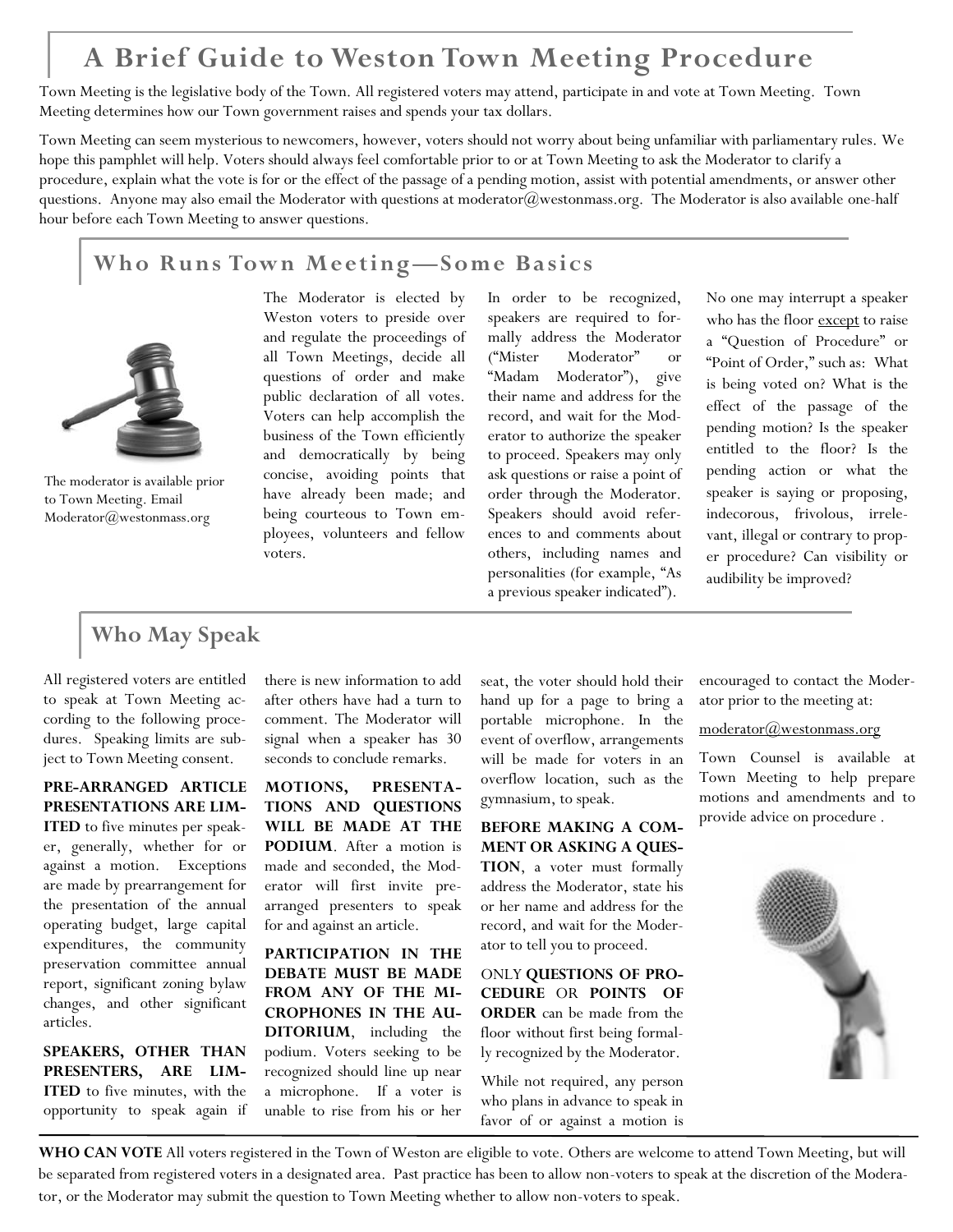# **A Brief Guide to Weston Town Meeting Procedure**

Town Meeting is the legislative body of the Town. All registered voters may attend, participate in and vote at Town Meeting. Town Meeting determines how our Town government raises and spends your tax dollars.

Town Meeting can seem mysterious to newcomers, however, voters should not worry about being unfamiliar with parliamentary rules. We hope this pamphlet will help. Voters should always feel comfortable prior to or at Town Meeting to ask the Moderator to clarify a procedure, explain what the vote is for or the effect of the passage of a pending motion, assist with potential amendments, or answer other questions. Anyone may also email the Moderator with questions at [moderator@westonmass.org.](mailto:moderator@westonmass.org) The Moderator is also available one-half hour before each Town Meeting to answer questions.

### **Who Runs Town Meeting—Some Basics**



The moderator is available prior to Town Meeting. Email Moderator@westonmass.org

The Moderator is elected by Weston voters to preside over and regulate the proceedings of all Town Meetings, decide all questions of order and make public declaration of all votes. Voters can help accomplish the business of the Town efficiently and democratically by being concise, avoiding points that have already been made; and being courteous to Town employees, volunteers and fellow voters.

In order to be recognized, speakers are required to formally address the Moderator ("Mister Moderator" or "Madam Moderator"), give their name and address for the record, and wait for the Moderator to authorize the speaker to proceed. Speakers may only ask questions or raise a point of order through the Moderator. Speakers should avoid references to and comments about others, including names and personalities (for example, "As a previous speaker indicated").

No one may interrupt a speaker who has the floor except to raise a "Question of Procedure" or "Point of Order," such as: What is being voted on? What is the effect of the passage of the pending motion? Is the speaker entitled to the floor? Is the pending action or what the speaker is saying or proposing, indecorous, frivolous, irrelevant, illegal or contrary to proper procedure? Can visibility or audibility be improved?

## **Who May Speak**

All registered voters are entitled to speak at Town Meeting according to the following procedures. Speaking limits are subject to Town Meeting consent.

**PRE-ARRANGED ARTICLE PRESENTATIONS ARE LIM-ITED** to five minutes per speaker, generally, whether for or against a motion. Exceptions are made by prearrangement for the presentation of the annual

operating budget, large capital expenditures, the community preservation committee annual report, significant zoning bylaw changes, and other significant articles.

**SPEAKERS, OTHER THAN PRESENTERS, ARE LIM-ITED** to five minutes, with the opportunity to speak again if there is new information to add after others have had a turn to comment. The Moderator will signal when a speaker has 30 seconds to conclude remarks.

**MOTIONS, PRESENTA-TIONS AND QUESTIONS WILL BE MADE AT THE PODIUM**. After a motion is made and seconded, the Moderator will first invite prearranged presenters to speak for and against an article.

**PARTICIPATION IN THE DEBATE MUST BE MADE FROM ANY OF THE MI-CROPHONES IN THE AU-DITORIUM**, including the podium. Voters seeking to be recognized should line up near a microphone. If a voter is unable to rise from his or her

seat, the voter should hold their hand up for a page to bring a portable microphone. In the event of overflow, arrangements will be made for voters in an overflow location, such as the gymnasium, to speak.

**BEFORE MAKING A COM-MENT OR ASKING A QUES-TION**, a voter must formally address the Moderator, state his or her name and address for the record, and wait for the Moderator to tell you to proceed.

ONLY **QUESTIONS OF PRO-CEDURE** OR **POINTS OF ORDER** can be made from the floor without first being formally recognized by the Moderator.

While not required, any person who plans in advance to speak in favor of or against a motion is encouraged to contact the Moderator prior to the meeting at:

#### [moderator@westonmass.org](mailto:moderator@westonmass.org)

Town Counsel is available at Town Meeting to help prepare motions and amendments and to provide advice on procedure .



**WHO CAN VOTE** All voters registered in the Town of Weston are eligible to vote. Others are welcome to attend Town Meeting, but will be separated from registered voters in a designated area. Past practice has been to allow non-voters to speak at the discretion of the Moderator, or the Moderator may submit the question to Town Meeting whether to allow non-voters to speak.